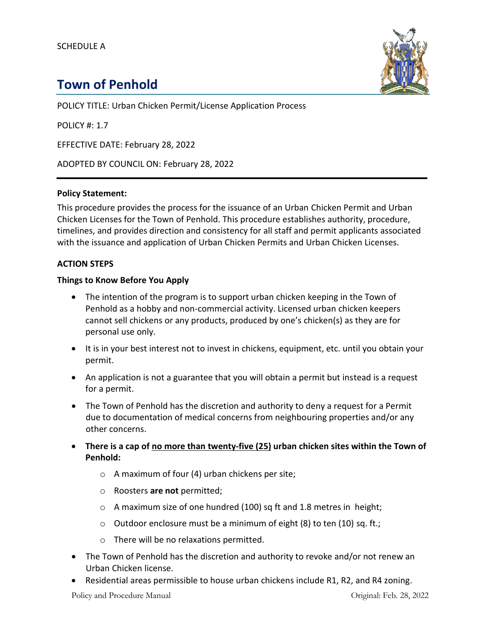

# **Town of Penhold**

POLICY TITLE: Urban Chicken Permit/License Application Process

POLICY #: 1.7

EFFECTIVE DATE: February 28, 2022

ADOPTED BY COUNCIL ON: February 28, 2022

#### **Policy Statement:**

This procedure provides the process for the issuance of an Urban Chicken Permit and Urban Chicken Licenses for the Town of Penhold. This procedure establishes authority, procedure, timelines, and provides direction and consistency for all staff and permit applicants associated with the issuance and application of Urban Chicken Permits and Urban Chicken Licenses.

#### **ACTION STEPS**

#### **Things to Know Before You Apply**

- The intention of the program is to support urban chicken keeping in the Town of Penhold as a hobby and non-commercial activity. Licensed urban chicken keepers cannot sell chickens or any products, produced by one's chicken(s) as they are for personal use only.
- It is in your best interest not to invest in chickens, equipment, etc. until you obtain your permit.
- An application is not a guarantee that you will obtain a permit but instead is a request for a permit.
- The Town of Penhold has the discretion and authority to deny a request for a Permit due to documentation of medical concerns from neighbouring properties and/or any other concerns.
- **There is a cap of no more than twenty-five (25) urban chicken sites within the Town of Penhold:**
	- $\circ$  A maximum of four (4) urban chickens per site;
	- o Roosters **are not** permitted;
	- o A maximum size of one hundred (100) sq ft and 1.8 metres in height;
	- o Outdoor enclosure must be a minimum of eight (8) to ten (10) sq. ft.;
	- o There will be no relaxations permitted.
- The Town of Penhold has the discretion and authority to revoke and/or not renew an Urban Chicken license.
- Residential areas permissible to house urban chickens include R1, R2, and R4 zoning.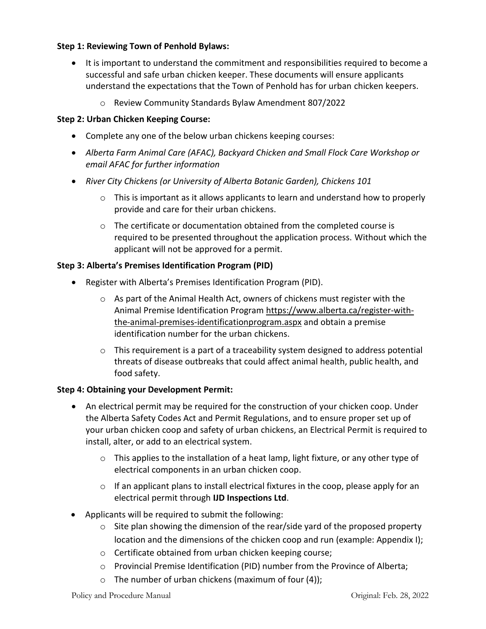## **Step 1: Reviewing Town of Penhold Bylaws:**

- It is important to understand the commitment and responsibilities required to become a successful and safe urban chicken keeper. These documents will ensure applicants understand the expectations that the Town of Penhold has for urban chicken keepers.
	- o Review Community Standards Bylaw Amendment 807/2022

## **Step 2: Urban Chicken Keeping Course:**

- Complete any one of the below urban chickens keeping courses:
- *Alberta Farm Animal Care (AFAC), Backyard Chicken and Small Flock Care Workshop or email AFAC for further information*
- *River City Chickens (or University of Alberta Botanic Garden), Chickens 101*
	- $\circ$  This is important as it allows applicants to learn and understand how to properly provide and care for their urban chickens.
	- o The certificate or documentation obtained from the completed course is required to be presented throughout the application process. Without which the applicant will not be approved for a permit.

## **Step 3: Alberta's Premises Identification Program (PID)**

- Register with Alberta's Premises Identification Program (PID).
	- $\circ$  As part of the Animal Health Act, owners of chickens must register with the Animal Premise Identification Program https://www.alberta.ca/register-withthe-animal-premises-identificationprogram.aspx and obtain a premise identification number for the urban chickens.
	- $\circ$  This requirement is a part of a traceability system designed to address potential threats of disease outbreaks that could affect animal health, public health, and food safety.

## **Step 4: Obtaining your Development Permit:**

- An electrical permit may be required for the construction of your chicken coop. Under the Alberta Safety Codes Act and Permit Regulations, and to ensure proper set up of your urban chicken coop and safety of urban chickens, an Electrical Permit is required to install, alter, or add to an electrical system.
	- o This applies to the installation of a heat lamp, light fixture, or any other type of electrical components in an urban chicken coop.
	- $\circ$  If an applicant plans to install electrical fixtures in the coop, please apply for an electrical permit through **IJD Inspections Ltd**.
- Applicants will be required to submit the following:
	- o Site plan showing the dimension of the rear/side yard of the proposed property location and the dimensions of the chicken coop and run (example: Appendix I);
	- o Certificate obtained from urban chicken keeping course;
	- o Provincial Premise Identification (PID) number from the Province of Alberta;
	- $\circ$  The number of urban chickens (maximum of four (4));